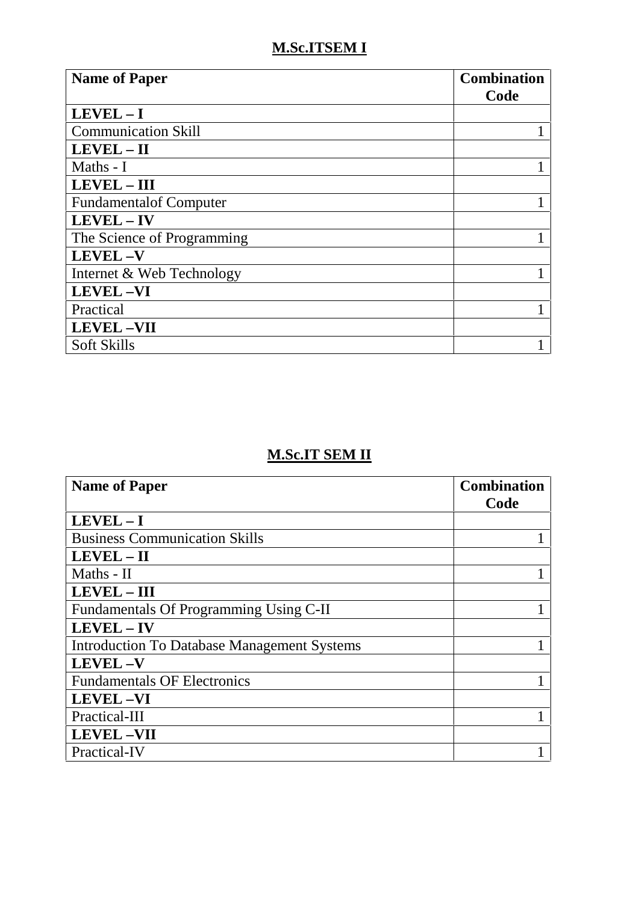## **M.Sc.ITSEM I**

| <b>Name of Paper</b>           | <b>Combination</b><br>Code |
|--------------------------------|----------------------------|
| $LEVEL - I$                    |                            |
| <b>Communication Skill</b>     |                            |
| $LEVEL - II$                   |                            |
| Maths - I                      |                            |
| <b>LEVEL-III</b>               |                            |
| <b>Fundamental of Computer</b> |                            |
| LEVEL - IV                     |                            |
| The Science of Programming     |                            |
| <b>LEVEL-V</b>                 |                            |
| Internet & Web Technology      |                            |
| <b>LEVEL-VI</b>                |                            |
| Practical                      |                            |
| <b>LEVEL-VII</b>               |                            |
| <b>Soft Skills</b>             |                            |

## **M.Sc.IT SEM II**

| <b>Name of Paper</b>                               | <b>Combination</b> |
|----------------------------------------------------|--------------------|
|                                                    | Code               |
| $LEVEL - I$                                        |                    |
| <b>Business Communication Skills</b>               |                    |
| $LEVEL - II$                                       |                    |
| Maths - II                                         |                    |
| <b>LEVEL - III</b>                                 |                    |
| Fundamentals Of Programming Using C-II             |                    |
| LEVEL-IV                                           |                    |
| <b>Introduction To Database Management Systems</b> |                    |
| <b>LEVEL-V</b>                                     |                    |
| <b>Fundamentals OF Electronics</b>                 |                    |
| <b>LEVEL-VI</b>                                    |                    |
| Practical-III                                      |                    |
| <b>LEVEL-VII</b>                                   |                    |
| Practical-IV                                       |                    |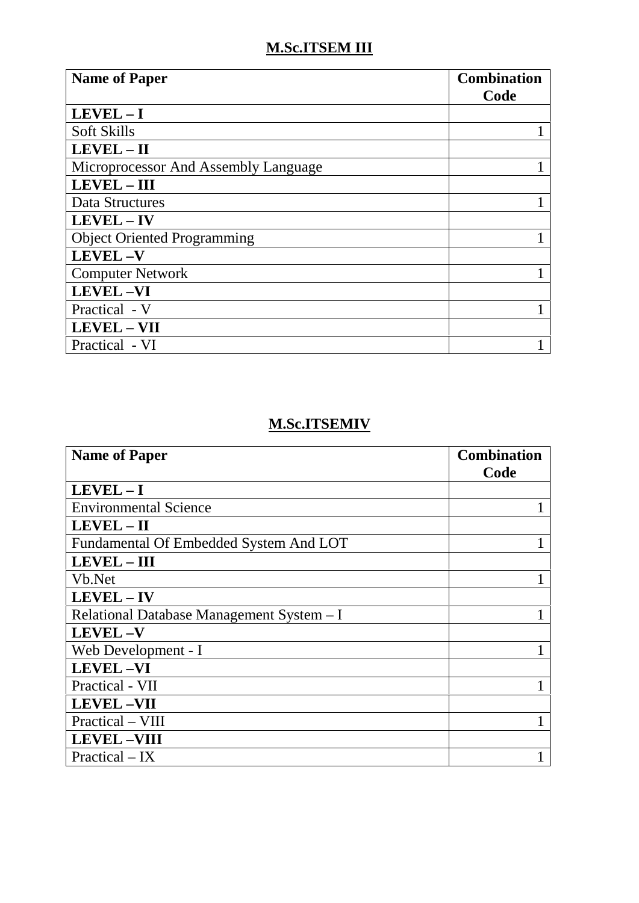## **M.Sc.ITSEM III**

| <b>Name of Paper</b>                 | <b>Combination</b><br>Code |
|--------------------------------------|----------------------------|
| $LEVEL - I$                          |                            |
| <b>Soft Skills</b>                   |                            |
| $LEVEL - II$                         |                            |
| Microprocessor And Assembly Language |                            |
| <b>LEVEL-III</b>                     |                            |
| Data Structures                      |                            |
| LEVEL - IV                           |                            |
| <b>Object Oriented Programming</b>   |                            |
| <b>LEVEL-V</b>                       |                            |
| <b>Computer Network</b>              |                            |
| <b>LEVEL-VI</b>                      |                            |
| Practical - V                        |                            |
| <b>LEVEL - VII</b>                   |                            |
| Practical - VI                       |                            |

### **M.Sc.ITSEMIV**

| <b>Name of Paper</b>                      | <b>Combination</b> |
|-------------------------------------------|--------------------|
|                                           | Code               |
| $LEVEL - I$                               |                    |
| <b>Environmental Science</b>              |                    |
| LEVEL - II                                |                    |
| Fundamental Of Embedded System And LOT    |                    |
| <b>LEVEL - III</b>                        |                    |
| Vb.Net                                    |                    |
| <b>LEVEL-IV</b>                           |                    |
| Relational Database Management System - I |                    |
| <b>LEVEL-V</b>                            |                    |
| Web Development - I                       |                    |
| <b>LEVEL-VI</b>                           |                    |
| Practical - VII                           |                    |
| <b>LEVEL-VII</b>                          |                    |
| Practical – VIII                          |                    |
| <b>LEVEL-VIII</b>                         |                    |
| $Practical - IX$                          |                    |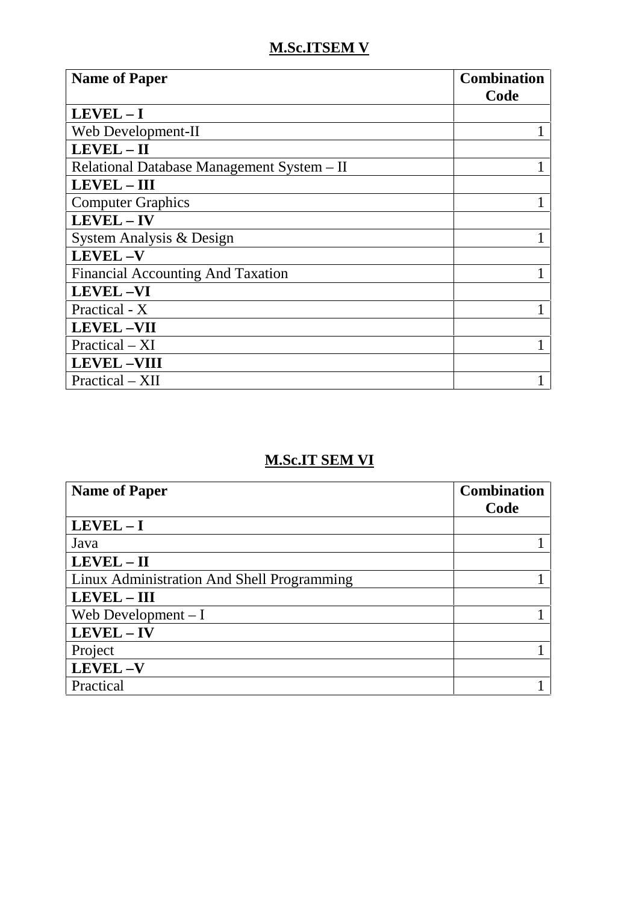### **M.Sc.ITSEM V**

| <b>Name of Paper</b>                       | <b>Combination</b><br>Code |
|--------------------------------------------|----------------------------|
| $LEVEL - I$                                |                            |
| Web Development-II                         |                            |
| LEVEL-II                                   |                            |
| Relational Database Management System - II |                            |
| <b>LEVEL - III</b>                         |                            |
| <b>Computer Graphics</b>                   |                            |
| LEVEL-IV                                   |                            |
| System Analysis & Design                   |                            |
| <b>LEVEL-V</b>                             |                            |
| <b>Financial Accounting And Taxation</b>   |                            |
| <b>LEVEL-VI</b>                            |                            |
| Practical - X                              |                            |
| <b>LEVEL-VII</b>                           |                            |
| $Practical - XI$                           |                            |
| <b>LEVEL-VIII</b>                          |                            |
| Practical – XII                            |                            |

### **M.Sc.IT SEM VI**

| <b>Name of Paper</b>                       | <b>Combination</b> |
|--------------------------------------------|--------------------|
|                                            | Code               |
| $LEVEL - I$                                |                    |
| Java                                       |                    |
| LEVEL - II                                 |                    |
| Linux Administration And Shell Programming |                    |
| <b>LEVEL-III</b>                           |                    |
| Web Development $-I$                       |                    |
| LEVEL - IV                                 |                    |
| Project                                    |                    |
| LEVEL-V                                    |                    |
| Practical                                  |                    |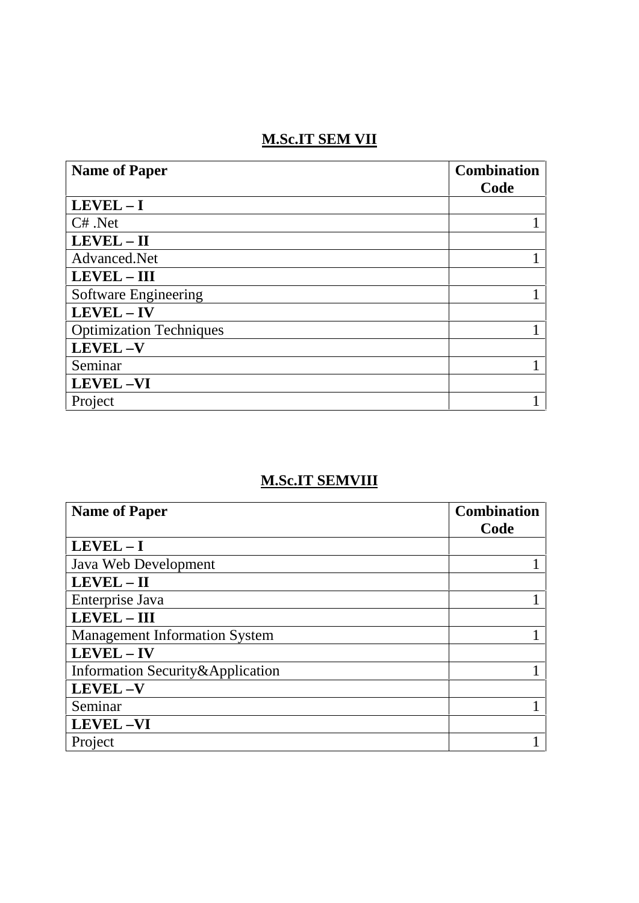# **M.Sc.IT SEM VII**

| <b>Name of Paper</b>           | <b>Combination</b> |
|--------------------------------|--------------------|
|                                | Code               |
| $LEVEL - I$                    |                    |
| $C#$ . Net                     |                    |
| LEVEL-II                       |                    |
| Advanced.Net                   |                    |
| <b>LEVEL - III</b>             |                    |
| <b>Software Engineering</b>    |                    |
| <b>LEVEL-IV</b>                |                    |
| <b>Optimization Techniques</b> |                    |
| <b>LEVEL-V</b>                 |                    |
| Seminar                        |                    |
| <b>LEVEL-VI</b>                |                    |
| Project                        |                    |

### **M.Sc.IT SEMVIII**

| <b>Name of Paper</b>                 | <b>Combination</b> |
|--------------------------------------|--------------------|
|                                      | Code               |
| $LEVEL - I$                          |                    |
| Java Web Development                 |                    |
| LEVEL - II                           |                    |
| Enterprise Java                      |                    |
| LEVEL - III                          |                    |
| <b>Management Information System</b> |                    |
| <b>LEVEL-IV</b>                      |                    |
| Information Security & Application   |                    |
| <b>LEVEL-V</b>                       |                    |
| Seminar                              |                    |
| <b>LEVEL-VI</b>                      |                    |
| Project                              |                    |